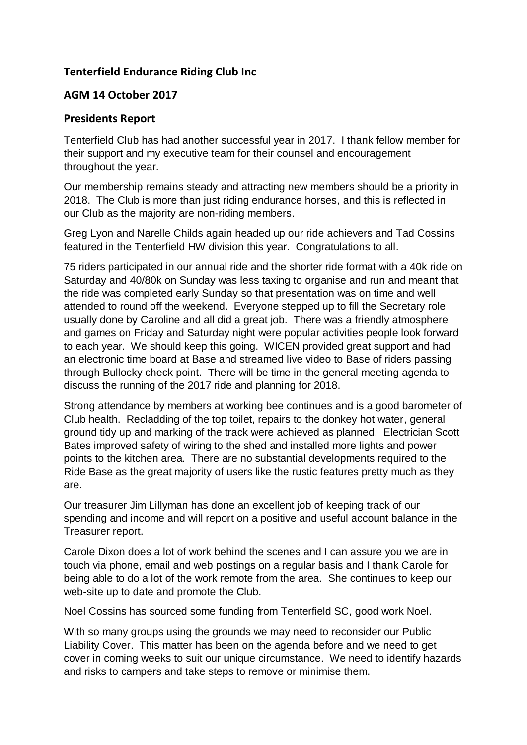## **Tenterfield Endurance Riding Club Inc**

## **AGM 14 October 2017**

## **Presidents Report**

Tenterfield Club has had another successful year in 2017. I thank fellow member for their support and my executive team for their counsel and encouragement throughout the year.

Our membership remains steady and attracting new members should be a priority in 2018. The Club is more than just riding endurance horses, and this is reflected in our Club as the majority are non-riding members.

Greg Lyon and Narelle Childs again headed up our ride achievers and Tad Cossins featured in the Tenterfield HW division this year. Congratulations to all.

75 riders participated in our annual ride and the shorter ride format with a 40k ride on Saturday and 40/80k on Sunday was less taxing to organise and run and meant that the ride was completed early Sunday so that presentation was on time and well attended to round off the weekend. Everyone stepped up to fill the Secretary role usually done by Caroline and all did a great job. There was a friendly atmosphere and games on Friday and Saturday night were popular activities people look forward to each year. We should keep this going. WICEN provided great support and had an electronic time board at Base and streamed live video to Base of riders passing through Bullocky check point. There will be time in the general meeting agenda to discuss the running of the 2017 ride and planning for 2018.

Strong attendance by members at working bee continues and is a good barometer of Club health. Recladding of the top toilet, repairs to the donkey hot water, general ground tidy up and marking of the track were achieved as planned. Electrician Scott Bates improved safety of wiring to the shed and installed more lights and power points to the kitchen area. There are no substantial developments required to the Ride Base as the great majority of users like the rustic features pretty much as they are.

Our treasurer Jim Lillyman has done an excellent job of keeping track of our spending and income and will report on a positive and useful account balance in the Treasurer report.

Carole Dixon does a lot of work behind the scenes and I can assure you we are in touch via phone, email and web postings on a regular basis and I thank Carole for being able to do a lot of the work remote from the area. She continues to keep our web-site up to date and promote the Club.

Noel Cossins has sourced some funding from Tenterfield SC, good work Noel.

With so many groups using the grounds we may need to reconsider our Public Liability Cover. This matter has been on the agenda before and we need to get cover in coming weeks to suit our unique circumstance. We need to identify hazards and risks to campers and take steps to remove or minimise them.